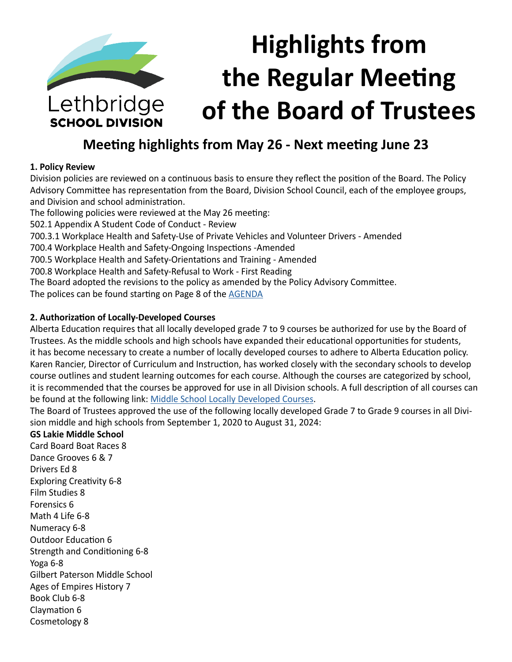

# **Meeting highlights from May 26 - Next meeting June 23**

#### **1. Policy Review**

Division policies are reviewed on a continuous basis to ensure they reflect the position of the Board. The Policy Advisory Committee has representation from the Board, Division School Council, each of the employee groups, and Division and school administration.

The following policies were reviewed at the May 26 meeting:

502.1 Appendix A Student Code of Conduct - Review

700.3.1 Workplace Health and Safety-Use of Private Vehicles and Volunteer Drivers - Amended

700.4 Workplace Health and Safety-Ongoing Inspections -Amended

700.5 Workplace Health and Safety-Orientations and Training - Amended

700.8 Workplace Health and Safety-Refusal to Work - First Reading

The Board adopted the revisions to the policy as amended by the Policy Advisory Committee.

The polices can be found starting on Page 8 of the [AGENDA](https://www.lethsd.ab.ca/download/270419)

#### **2. Authorization of Locally-Developed Courses**

Alberta Education requires that all locally developed grade 7 to 9 courses be authorized for use by the Board of Trustees. As the middle schools and high schools have expanded their educational opportunities for students, it has become necessary to create a number of locally developed courses to adhere to Alberta Education policy. Karen Rancier, Director of Curriculum and Instruction, has worked closely with the secondary schools to develop course outlines and student learning outcomes for each course. Although the courses are categorized by school, it is recommended that the courses be approved for use in all Division schools. A full description of all courses can be found at the following link: [Middle School Locally Developed Courses.](https://www.lethsd.ab.ca/download/270317)

The Board of Trustees approved the use of the following locally developed Grade 7 to Grade 9 courses in all Division middle and high schools from September 1, 2020 to August 31, 2024:

#### **GS Lakie Middle School**

Card Board Boat Races 8 Dance Grooves 6 & 7 Drivers Ed 8 Exploring Creativity 6-8 Film Studies 8 Forensics 6 Math 4 Life 6-8 Numeracy 6-8 Outdoor Education 6 Strength and Conditioning 6-8 Yoga 6-8 Gilbert Paterson Middle School Ages of Empires History 7 Book Club 6-8 Claymation 6 Cosmetology 8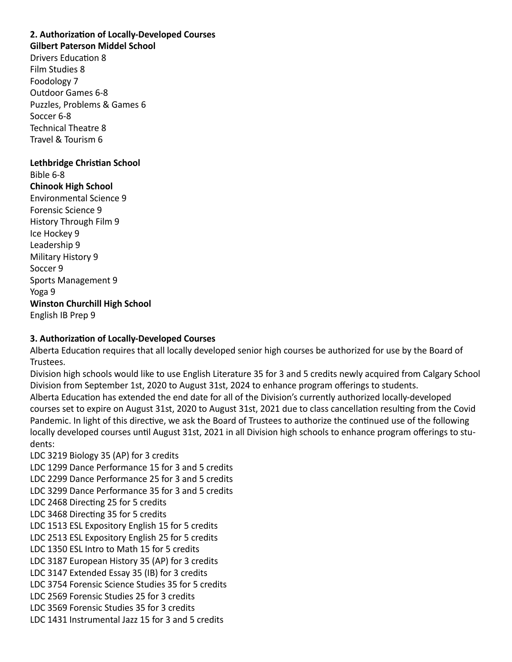# **2. Authorization of Locally-Developed Courses**

**Gilbert Paterson Middel School**

Drivers Education 8 Film Studies 8 Foodology 7 Outdoor Games 6-8 Puzzles, Problems & Games 6 Soccer 6-8 Technical Theatre 8 Travel & Tourism 6

**Lethbridge Christian School** Bible 6-8 **Chinook High School** Environmental Science 9 Forensic Science 9 History Through Film 9 Ice Hockey 9 Leadership 9 Military History 9 Soccer 9 Sports Management 9 Yoga 9 **Winston Churchill High School** English IB Prep 9

#### **3. Authorization of Locally-Developed Courses**

Alberta Education requires that all locally developed senior high courses be authorized for use by the Board of Trustees.

Division high schools would like to use English Literature 35 for 3 and 5 credits newly acquired from Calgary School Division from September 1st, 2020 to August 31st, 2024 to enhance program offerings to students. Alberta Education has extended the end date for all of the Division's currently authorized locally-developed courses set to expire on August 31st, 2020 to August 31st, 2021 due to class cancellation resulting from the Covid Pandemic. In light of this directive, we ask the Board of Trustees to authorize the continued use of the following locally developed courses until August 31st, 2021 in all Division high schools to enhance program offerings to students:

LDC 3219 Biology 35 (AP) for 3 credits LDC 1299 Dance Performance 15 for 3 and 5 credits LDC 2299 Dance Performance 25 for 3 and 5 credits LDC 3299 Dance Performance 35 for 3 and 5 credits LDC 2468 Directing 25 for 5 credits LDC 3468 Directing 35 for 5 credits LDC 1513 ESL Expository English 15 for 5 credits LDC 2513 ESL Expository English 25 for 5 credits LDC 1350 ESL Intro to Math 15 for 5 credits LDC 3187 European History 35 (AP) for 3 credits LDC 3147 Extended Essay 35 (IB) for 3 credits LDC 3754 Forensic Science Studies 35 for 5 credits LDC 2569 Forensic Studies 25 for 3 credits LDC 3569 Forensic Studies 35 for 3 credits LDC 1431 Instrumental Jazz 15 for 3 and 5 credits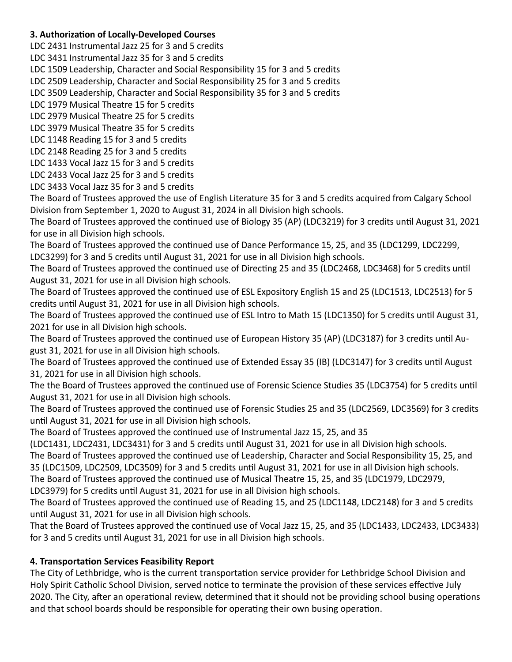#### **3. Authorization of Locally-Developed Courses**

LDC 2431 Instrumental Jazz 25 for 3 and 5 credits

LDC 3431 Instrumental Jazz 35 for 3 and 5 credits

LDC 1509 Leadership, Character and Social Responsibility 15 for 3 and 5 credits

LDC 2509 Leadership, Character and Social Responsibility 25 for 3 and 5 credits

LDC 3509 Leadership, Character and Social Responsibility 35 for 3 and 5 credits

LDC 1979 Musical Theatre 15 for 5 credits

LDC 2979 Musical Theatre 25 for 5 credits

LDC 3979 Musical Theatre 35 for 5 credits

LDC 1148 Reading 15 for 3 and 5 credits

LDC 2148 Reading 25 for 3 and 5 credits

LDC 1433 Vocal Jazz 15 for 3 and 5 credits

LDC 2433 Vocal Jazz 25 for 3 and 5 credits LDC 3433 Vocal Jazz 35 for 3 and 5 credits

The Board of Trustees approved the use of English Literature 35 for 3 and 5 credits acquired from Calgary School Division from September 1, 2020 to August 31, 2024 in all Division high schools.

The Board of Trustees approved the continued use of Biology 35 (AP) (LDC3219) for 3 credits until August 31, 2021 for use in all Division high schools.

The Board of Trustees approved the continued use of Dance Performance 15, 25, and 35 (LDC1299, LDC2299, LDC3299) for 3 and 5 credits until August 31, 2021 for use in all Division high schools.

The Board of Trustees approved the continued use of Directing 25 and 35 (LDC2468, LDC3468) for 5 credits until August 31, 2021 for use in all Division high schools.

The Board of Trustees approved the continued use of ESL Expository English 15 and 25 (LDC1513, LDC2513) for 5 credits until August 31, 2021 for use in all Division high schools.

The Board of Trustees approved the continued use of ESL Intro to Math 15 (LDC1350) for 5 credits until August 31, 2021 for use in all Division high schools.

The Board of Trustees approved the continued use of European History 35 (AP) (LDC3187) for 3 credits until August 31, 2021 for use in all Division high schools.

The Board of Trustees approved the continued use of Extended Essay 35 (IB) (LDC3147) for 3 credits until August 31, 2021 for use in all Division high schools.

The the Board of Trustees approved the continued use of Forensic Science Studies 35 (LDC3754) for 5 credits until August 31, 2021 for use in all Division high schools.

The Board of Trustees approved the continued use of Forensic Studies 25 and 35 (LDC2569, LDC3569) for 3 credits until August 31, 2021 for use in all Division high schools.

The Board of Trustees approved the continued use of Instrumental Jazz 15, 25, and 35

(LDC1431, LDC2431, LDC3431) for 3 and 5 credits until August 31, 2021 for use in all Division high schools.

The Board of Trustees approved the continued use of Leadership, Character and Social Responsibility 15, 25, and 35 (LDC1509, LDC2509, LDC3509) for 3 and 5 credits until August 31, 2021 for use in all Division high schools.

The Board of Trustees approved the continued use of Musical Theatre 15, 25, and 35 (LDC1979, LDC2979,

LDC3979) for 5 credits until August 31, 2021 for use in all Division high schools.

The Board of Trustees approved the continued use of Reading 15, and 25 (LDC1148, LDC2148) for 3 and 5 credits until August 31, 2021 for use in all Division high schools.

That the Board of Trustees approved the continued use of Vocal Jazz 15, 25, and 35 (LDC1433, LDC2433, LDC3433) for 3 and 5 credits until August 31, 2021 for use in all Division high schools.

# **4. Transportation Services Feasibility Report**

The City of Lethbridge, who is the current transportation service provider for Lethbridge School Division and Holy Spirit Catholic School Division, served notice to terminate the provision of these services effective July 2020. The City, after an operational review, determined that it should not be providing school busing operations and that school boards should be responsible for operating their own busing operation.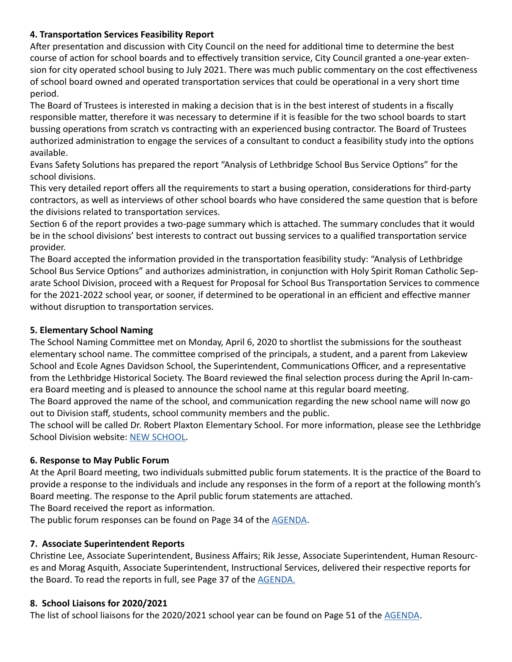#### **4. Transportation Services Feasibility Report**

After presentation and discussion with City Council on the need for additional time to determine the best course of action for school boards and to effectively transition service, City Council granted a one-year extension for city operated school busing to July 2021. There was much public commentary on the cost effectiveness of school board owned and operated transportation services that could be operational in a very short time period.

The Board of Trustees is interested in making a decision that is in the best interest of students in a fiscally responsible matter, therefore it was necessary to determine if it is feasible for the two school boards to start bussing operations from scratch vs contracting with an experienced busing contractor. The Board of Trustees authorized administration to engage the services of a consultant to conduct a feasibility study into the options available.

Evans Safety Solutions has prepared the report "Analysis of Lethbridge School Bus Service Options" for the school divisions.

This very detailed report offers all the requirements to start a busing operation, considerations for third-party contractors, as well as interviews of other school boards who have considered the same question that is before the divisions related to transportation services.

Section 6 of the report provides a two-page summary which is attached. The summary concludes that it would be in the school divisions' best interests to contract out bussing services to a qualified transportation service provider.

The Board accepted the information provided in the transportation feasibility study: "Analysis of Lethbridge School Bus Service Options" and authorizes administration, in conjunction with Holy Spirit Roman Catholic Separate School Division, proceed with a Request for Proposal for School Bus Transportation Services to commence for the 2021-2022 school year, or sooner, if determined to be operational in an efficient and effective manner without disruption to transportation services.

# **5. Elementary School Naming**

The School Naming Committee met on Monday, April 6, 2020 to shortlist the submissions for the southeast elementary school name. The committee comprised of the principals, a student, and a parent from Lakeview School and Ecole Agnes Davidson School, the Superintendent, Communications Officer, and a representative from the Lethbridge Historical Society. The Board reviewed the final selection process during the April In-camera Board meeting and is pleased to announce the school name at this regular board meeting.

The Board approved the name of the school, and communication regarding the new school name will now go out to Division staff, students, school community members and the public.

The school will be called Dr. Robert Plaxton Elementary School. For more information, please see the Lethbridge School Division website: [NEW SCHOOL](https://www.lethsd.ab.ca/our-district/news/post/divisions-newest-school-to-be-called-dr-robert-plaxton-elementary-school).

#### **6. Response to May Public Forum**

At the April Board meeting, two individuals submitted public forum statements. It is the practice of the Board to provide a response to the individuals and include any responses in the form of a report at the following month's Board meeting. The response to the April public forum statements are attached.

The Board received the report as information.

The public forum responses can be found on Page 34 of the [AGENDA](https://www.lethsd.ab.ca/download/270419).

# **7. Associate Superintendent Reports**

Christine Lee, Associate Superintendent, Business Affairs; Rik Jesse, Associate Superintendent, Human Resources and Morag Asquith, Associate Superintendent, Instructional Services, delivered their respective reports for the Board. To read the reports in full, see Page 37 of the [AGENDA](https://www.lethsd.ab.ca/download/270419).

#### **8. School Liaisons for 2020/2021**

The list of school liaisons for the 2020/2021 school year can be found on Page 51 of the [AGENDA](https://www.lethsd.ab.ca/download/270419).